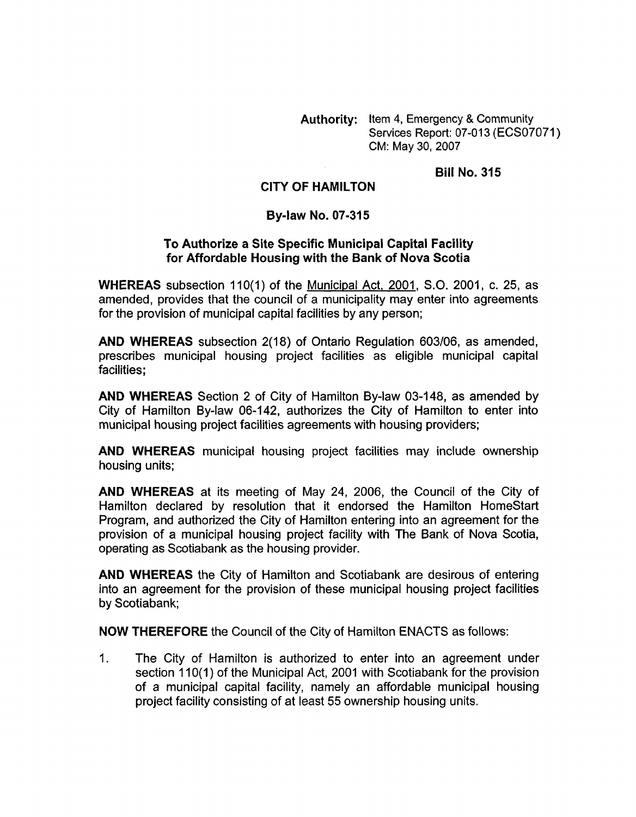**Authority:** Item **4,** Emergency & Community Services Report: 07-013 (ECS07071) CM: May 30,2007

**Bill No. 315** 

## **CITY OF HAMILTON**

## **By-law No. 07-315**

## **To Authorize a Site Specific Municipal Capital Facility for Affordable Housing with the Bank of Nova Scotia**

**WHEREAS** subsection 110(1) of the Municipal Act, 2001, S.O. 2001, c. 25, as amended, provides that the council of a municipality may enter into agreements for the provision of municipal capital facilities by any person;

**AND WHEREAS** subsection 2( 18) of Ontario Regulation 603/06, as amended, prescribes municipal housing project facilities as eligible municipal capital facilities;

**AND WHEREAS** Section 2 of City of Hamilton By-law 03-148, as amended by City of Hamilton By-law 06-142, authorizes the City of Hamilton to enter into municipal housing project facilities agreements with housing providers;

**AND WHEREAS** municipal housing project facilities may include ownership housing units;

**AND WHEREAS** at its meeting of May 24, 2006, the Council of the City of Hamilton declared by resolution that it endorsed the Hamilton Homestart Program, and authorized the City of Hamilton entering into an agreement for the provision of a municipal housing project facility with The Bank of Nova Scotia, operating as Scotiabank as the housing provider.

**AND WHEREAS** the City of Hamilton and Scotiabank are desirous of entering into an agreement for the provision of these municipal housing project facilities by Scotiabank;

**NOW THEREFORE** the Council of the City of Hamilton ENACTS as follows:

1. The City of Hamilton is authorized to enter into an agreement under section 110(1) of the Municipal Act, 2001 with Scotiabank for the provision of a municipal capital facility, namely an affordable municipal housing project facility consisting of at least 55 ownership housing units.